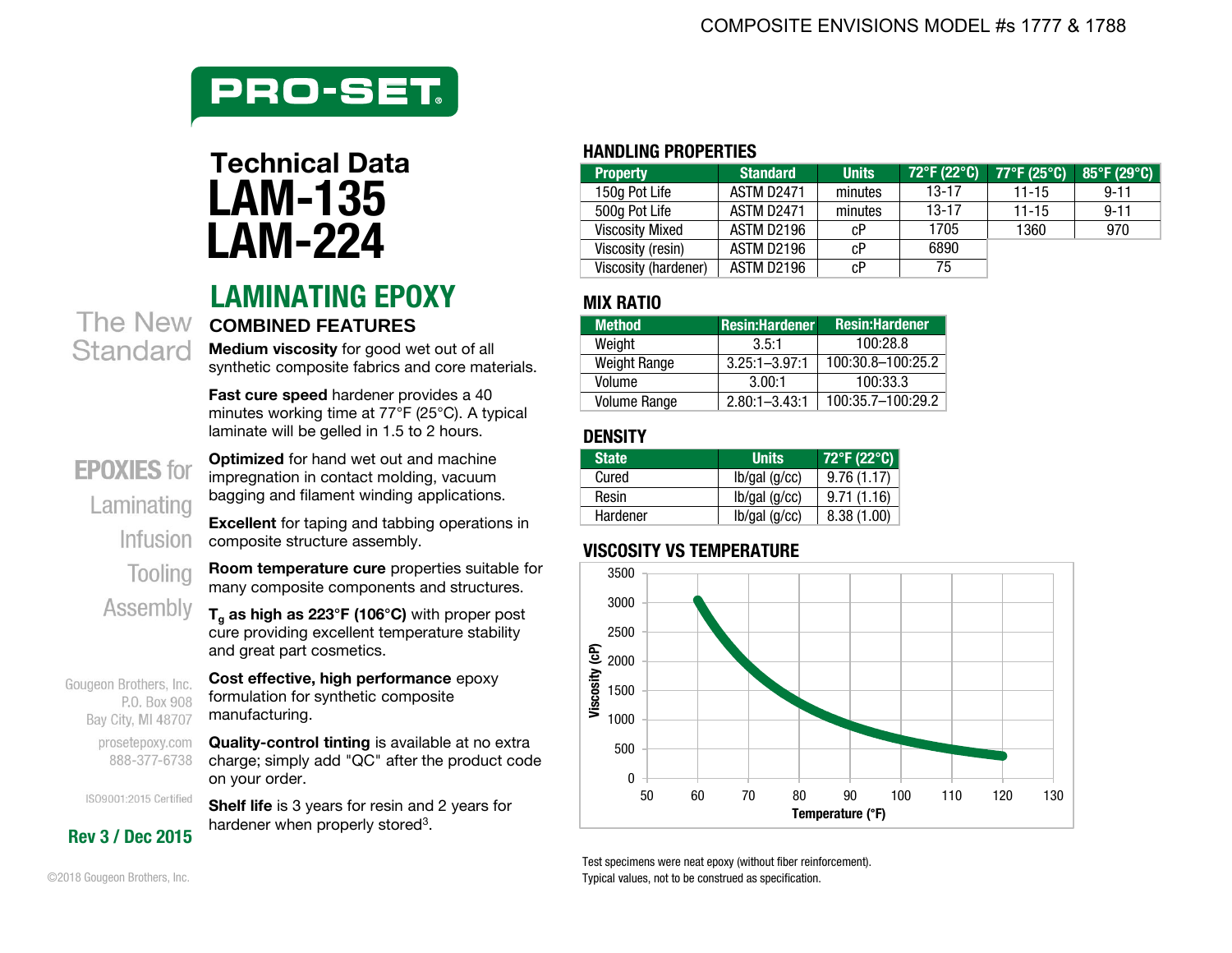

# **LAM-224**

#### **LAMINATING EPOXY MIX RATIO** The New **COMBINED FEATURES**

**Medium viscosity** for good wet out of all synthetic composite fabrics and core materials.

**Fast cure speed** hardener provides a 40 minutes working time at 77°F (25°C). A typical laminate will be gelled in 1.5 to 2 hours.

**Optimized** for hand wet out and machine impregnation in contact molding, vacuum bagging and filament winding applications.

#### **EPOXIES** for Laminating Infusion Tooling

Standard

**Room temperature cure** properties suitable for many composite components and structures. Assembly

**Excellent** for taping and tabbing operations in

**<sup>T</sup>g as high as 223°F (106°C)** with proper post cure providing excellent temperature stability and great part cosmetics.

**Cost effective, high performance** epoxy Gougeon Brothers, Inc. formulation for synthetic composite P.O. Box 908 manufacturing. Bay City, MI 48707

composite structure assembly.

prosetepoxy.com **Quality-control tinting** is available at no extra charge; simply add "QC" after the product code 888-377-6738 on your order.

ISO9001:2015 Certified **Shelf life** is 3 years for resin and 2 years for hardener when properly stored<sup>3</sup>.

#### **HANDLING PROPERTIES**

| Technical Data | <b>Property</b>        | <b>Standard</b>   | <b>Units</b> | 72°F (22°C) | $77^{\circ}$ F (25 $^{\circ}$ C) $\parallel$ | $85^{\circ}$ F (29 $^{\circ}$ C) |
|----------------|------------------------|-------------------|--------------|-------------|----------------------------------------------|----------------------------------|
| <b>LAM-135</b> | 150a Pot Life          | <b>ASTM D2471</b> | minutes      | 13-17       | $11 - 15$                                    | $9 - 11$                         |
|                | 500g Pot Life          | <b>ASTM D2471</b> | minutes      | $13 - 17$   | $11 - 15$                                    | $9 - 11$                         |
|                | <b>Viscosity Mixed</b> | ASTM D2196        | cР           | 1705        | 1360                                         | 970                              |
| <b>LAM-224</b> | Viscosity (resin)      | ASTM D2196        | cР           | 6890        |                                              |                                  |
|                | Viscosity (hardener)   | ASTM D2196        | oD           | 75          |                                              |                                  |

| <b>Method</b>       | <b>Resin:Hardener</b> | <b>Resin:Hardener</b> |
|---------------------|-----------------------|-----------------------|
| Weight              | 3.5:1                 | 100:28.8              |
| <b>Weight Range</b> | $3.25:1 - 3.97:1$     | $100:30.8 - 100:25.2$ |
| Volume              | 3.00:1                | 100:33.3              |
| <b>Volume Range</b> | $2.80:1 - 3.43:1$     | 100:35.7-100:29.2     |

#### **DENSITY**

| <b>State</b> | <b>Units</b> | 72°F (22°C) |
|--------------|--------------|-------------|
| Cured        | lb/gal(g/cc) | 9.76(1.17)  |
| Resin        | lb/gal(g/cc) | 9.71(1.16)  |
| Hardener     | lb/gal(g/cc) | 8.38(1.00)  |

#### **VISCOSITY VS TEMPERATURE**



Test specimens were neat epoxy (without fiber reinforcement). Typical values, not to be construed as specification.

©2018 Gougeon Brothers, Inc.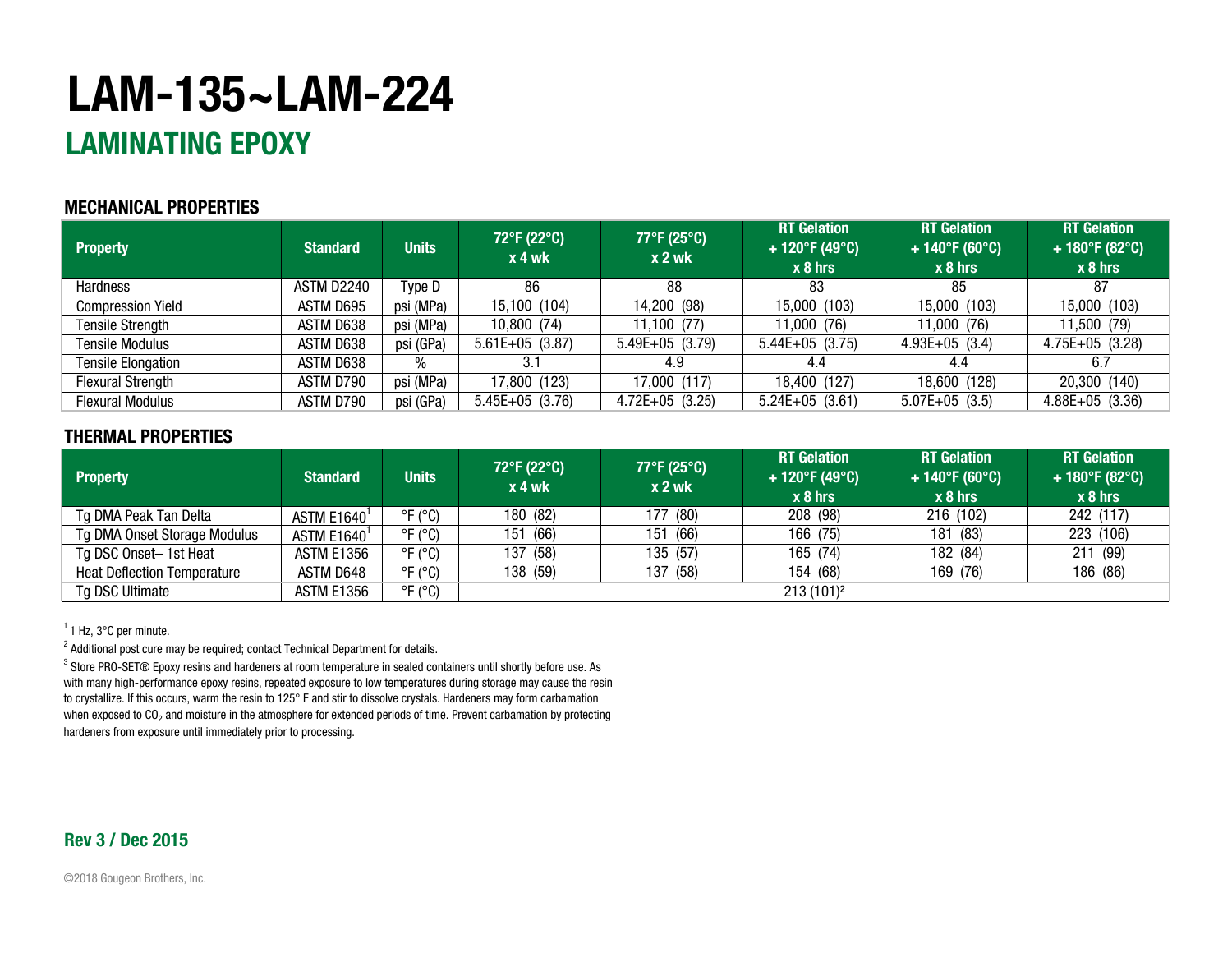## **LAM-135~LAM-224**

### **LAMINATING EPOXY**

#### **MECHANICAL PROPERTIES**

| <b>Property</b>           | <b>Standard</b> | <b>Units</b> | 72°F (22°C)<br>$x 4$ wk | 77°F (25°C)<br>$x2$ wk | <b>RT</b> Gelation<br>+ 120°F (49°C)<br>$x8$ hrs | <b>RT</b> Gelation<br>$+140^{\circ}F(60^{\circ}C)$<br>$x_8$ hrs | <b>RT</b> Gelation<br>+ 180°F (82°C)<br>$x_8$ hrs |
|---------------------------|-----------------|--------------|-------------------------|------------------------|--------------------------------------------------|-----------------------------------------------------------------|---------------------------------------------------|
| <b>Hardness</b>           | ASTM D2240      | Type D       | 86                      | 88                     | 83                                               | 85                                                              | 87                                                |
| <b>Compression Yield</b>  | ASTM D695       | psi (MPa)    | 15,100 (104)            | 14,200 (98)            | 15,000 (103)                                     | 15,000 (103)                                                    | 15,000 (103)                                      |
| <b>Tensile Strength</b>   | ASTM D638       | psi (MPa)    | 10,800 (74)             | 11,100(77)             | 11,000 (76)                                      | 11,000 (76)                                                     | 11,500 (79)                                       |
| <b>Tensile Modulus</b>    | ASTM D638       | psi (GPa)    | $5.61E+05$ (3.87)       | $5.49E+05$ (3.79)      | $5.44E+05$ (3.75)                                | $4.93E+05$ (3.4)                                                | $4.75E+05$ (3.28)                                 |
| <b>Tensile Elongation</b> | ASTM D638       | %            | 3.1                     | 4.9                    | 4.4                                              | 4.4                                                             | 6.7                                               |
| <b>Flexural Strength</b>  | ASTM D790       | psi (MPa)    | 17,800 (123)            | 17,000 (117)           | 18,400 (127)                                     | 18,600 (128)                                                    | 20,300 (140)                                      |
| <b>Flexural Modulus</b>   | ASTM D790       | psi (GPa)    | $5.45E+05$ (3.76)       | $4.72E+05$ (3.25)      | $5.24E+05$ (3.61)                                | $5.07E+05$ (3.5)                                                | $4.88E+05$ (3.36)                                 |

#### **THERMAL PROPERTIES**

| <b>Property</b>                    | <b>Standard</b>   | <b>Units</b>                 | 72°F (22°C)<br>x 4 wk | $77^{\circ}$ F (25 $^{\circ}$ C)<br>$x2$ wk | <b>RT</b> Gelation<br>+ 120°F (49°C)<br>$x8$ hrs | <b>RT</b> Gelation<br>$+140^{\circ}F(60^{\circ}C)$<br>$x_8$ hrs | <b>RT</b> Gelation<br>$+180^{\circ}F(82^{\circ}C)$<br>$x 8$ hrs |
|------------------------------------|-------------------|------------------------------|-----------------------|---------------------------------------------|--------------------------------------------------|-----------------------------------------------------------------|-----------------------------------------------------------------|
| Tg DMA Peak Tan Delta              | <b>ASTM E1640</b> | $^{\circ}$ F ( $^{\circ}$ C) | 180 (82)              | 177 (80)                                    | 208 (98)                                         | 216 (102)                                                       | 242 (117)                                                       |
| Tg DMA Onset Storage Modulus       | ASTM E1640        | $\degree$ F ( $\degree$ C)   | (66)<br>151           | 151 (66)                                    | 166 (75)                                         | 181 (83)                                                        | 223 (106)                                                       |
| Tg DSC Onset-1st Heat              | ASTM E1356        | $^{\circ}$ F ( $^{\circ}$ C) | 137 (58)              | 135 (57)                                    | 165 (74)                                         | 182 (84)                                                        | 211 (99)                                                        |
| <b>Heat Deflection Temperature</b> | ASTM D648         | $\degree$ F ( $\degree$ C)   | 138 (59)              | 137 (58)                                    | 154 (68)                                         | 169 (76)                                                        | 186 (86)                                                        |
| Tg DSC Ultimate                    | ASTM E1356        | $^{\circ}$ F ( $^{\circ}$ C) |                       |                                             | 213(101) <sup>2</sup>                            |                                                                 |                                                                 |

 $1$  Hz, 3 $\degree$ C per minute.

 $^{\text{2}}$  Additional post cure may be required; contact Technical Department for details.

 $^3$  Store PRO-SET® Epoxy resins and hardeners at room temperature in sealed containers until shortly before use. As with many high-performance epoxy resins, repeated exposure to low temperatures during storage may cause the resin to crystallize. If this occurs, warm the resin to 125° F and stir to dissolve crystals. Hardeners may form carbamation when exposed to CO<sub>2</sub> and moisture in the atmosphere for extended periods of time. Prevent carbamation by protecting hardeners from exposure until immediately prior to processing.

#### **Rev 3 / Dec 2015**